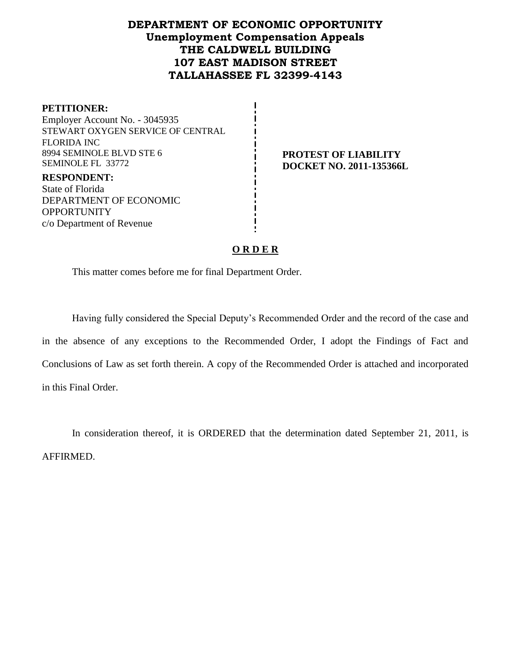# **DEPARTMENT OF ECONOMIC OPPORTUNITY Unemployment Compensation Appeals THE CALDWELL BUILDING 107 EAST MADISON STREET TALLAHASSEE FL 32399-4143**

**PETITIONER:** Employer Account No. - 3045935 STEWART OXYGEN SERVICE OF CENTRAL FLORIDA INC 8994 SEMINOLE BLVD STE 6 SEMINOLE FL 33772 **RESPONDENT:** State of Florida DEPARTMENT OF ECONOMIC **OPPORTUNITY** 

c/o Department of Revenue

**PROTEST OF LIABILITY DOCKET NO. 2011-135366L**

#### **O R D E R**

This matter comes before me for final Department Order.

Having fully considered the Special Deputy's Recommended Order and the record of the case and in the absence of any exceptions to the Recommended Order, I adopt the Findings of Fact and Conclusions of Law as set forth therein. A copy of the Recommended Order is attached and incorporated in this Final Order.

In consideration thereof, it is ORDERED that the determination dated September 21, 2011, is AFFIRMED.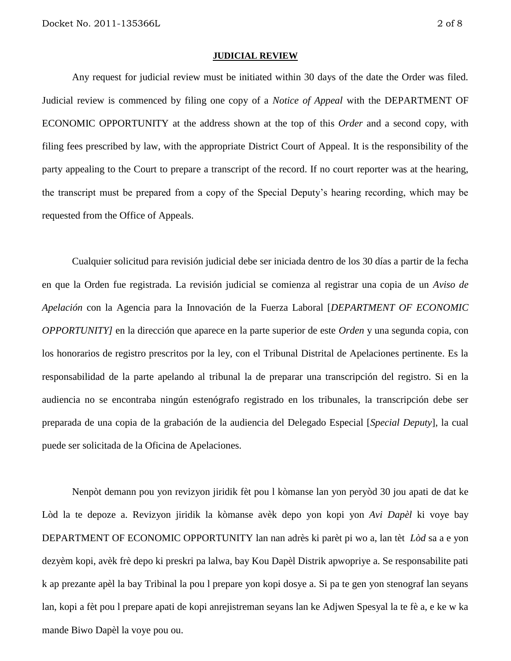#### **JUDICIAL REVIEW**

Any request for judicial review must be initiated within 30 days of the date the Order was filed. Judicial review is commenced by filing one copy of a *Notice of Appeal* with the DEPARTMENT OF ECONOMIC OPPORTUNITY at the address shown at the top of this *Order* and a second copy, with filing fees prescribed by law, with the appropriate District Court of Appeal. It is the responsibility of the party appealing to the Court to prepare a transcript of the record. If no court reporter was at the hearing, the transcript must be prepared from a copy of the Special Deputy's hearing recording, which may be requested from the Office of Appeals.

Cualquier solicitud para revisión judicial debe ser iniciada dentro de los 30 días a partir de la fecha en que la Orden fue registrada. La revisión judicial se comienza al registrar una copia de un *Aviso de Apelación* con la Agencia para la Innovación de la Fuerza Laboral [*DEPARTMENT OF ECONOMIC OPPORTUNITY]* en la dirección que aparece en la parte superior de este *Orden* y una segunda copia, con los honorarios de registro prescritos por la ley, con el Tribunal Distrital de Apelaciones pertinente. Es la responsabilidad de la parte apelando al tribunal la de preparar una transcripción del registro. Si en la audiencia no se encontraba ningún estenógrafo registrado en los tribunales, la transcripción debe ser preparada de una copia de la grabación de la audiencia del Delegado Especial [*Special Deputy*], la cual puede ser solicitada de la Oficina de Apelaciones.

Nenpòt demann pou yon revizyon jiridik fèt pou l kòmanse lan yon peryòd 30 jou apati de dat ke Lòd la te depoze a. Revizyon jiridik la kòmanse avèk depo yon kopi yon *Avi Dapèl* ki voye bay DEPARTMENT OF ECONOMIC OPPORTUNITY lan nan adrès ki parèt pi wo a, lan tèt *Lòd* sa a e yon dezyèm kopi, avèk frè depo ki preskri pa lalwa, bay Kou Dapèl Distrik apwopriye a. Se responsabilite pati k ap prezante apèl la bay Tribinal la pou l prepare yon kopi dosye a. Si pa te gen yon stenograf lan seyans lan, kopi a fèt pou l prepare apati de kopi anrejistreman seyans lan ke Adjwen Spesyal la te fè a, e ke w ka mande Biwo Dapèl la voye pou ou.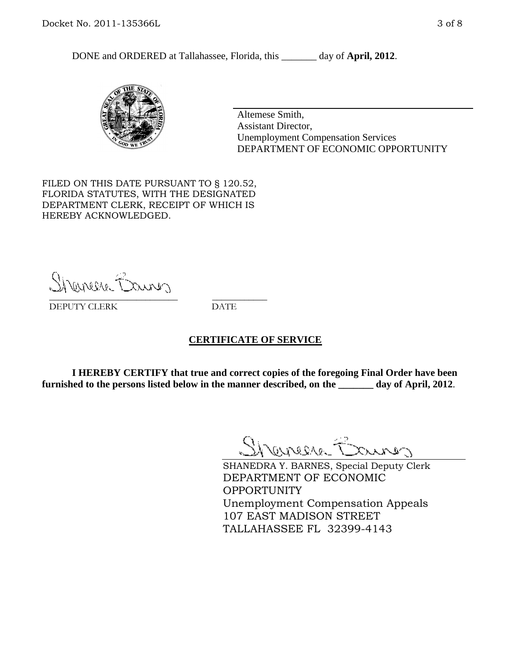DONE and ORDERED at Tallahassee, Florida, this day of **April, 2012**.



Altemese Smith, Assistant Director, Unemployment Compensation Services DEPARTMENT OF ECONOMIC OPPORTUNITY

FILED ON THIS DATE PURSUANT TO § 120.52, FLORIDA STATUTES, WITH THE DESIGNATED DEPARTMENT CLERK, RECEIPT OF WHICH IS HEREBY ACKNOWLEDGED.

Shener Barres \_\_\_\_\_\_\_\_\_\_\_\_\_\_\_\_\_\_\_\_\_\_\_\_\_\_\_\_ \_\_\_\_\_\_\_\_\_\_\_\_

DEPUTY CLERK DATE

#### **CERTIFICATE OF SERVICE**

**I HEREBY CERTIFY that true and correct copies of the foregoing Final Order have been furnished to the persons listed below in the manner described, on the \_\_\_\_\_\_\_ day of April, 2012**.

Shaner Barnes

SHANEDRA Y. BARNES, Special Deputy Clerk DEPARTMENT OF ECONOMIC OPPORTUNITY Unemployment Compensation Appeals 107 EAST MADISON STREET TALLAHASSEE FL 32399-4143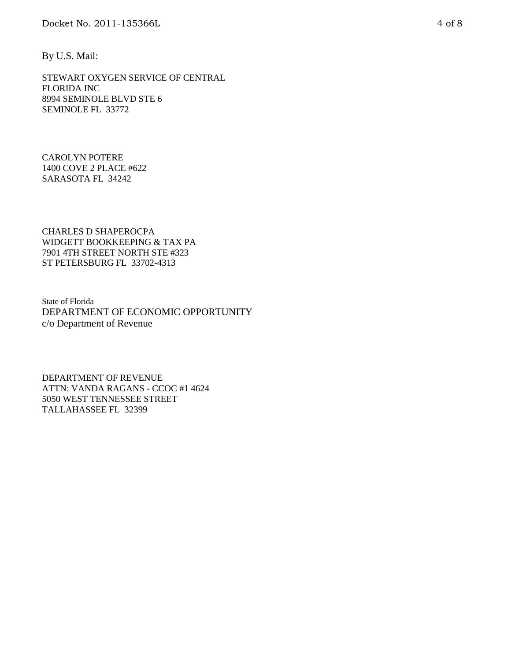By U.S. Mail:

STEWART OXYGEN SERVICE OF CENTRAL FLORIDA INC 8994 SEMINOLE BLVD STE 6 SEMINOLE FL 33772

CAROLYN POTERE 1400 COVE 2 PLACE #622 SARASOTA FL 34242

CHARLES D SHAPEROCPA WIDGETT BOOKKEEPING & TAX PA 7901 4TH STREET NORTH STE #323 ST PETERSBURG FL 33702-4313

State of Florida DEPARTMENT OF ECONOMIC OPPORTUNITY c/o Department of Revenue

DEPARTMENT OF REVENUE ATTN: VANDA RAGANS - CCOC #1 4624 5050 WEST TENNESSEE STREET TALLAHASSEE FL 32399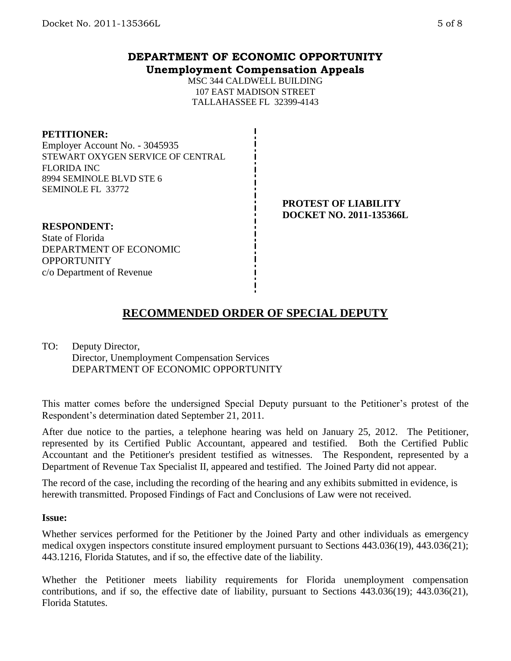# **DEPARTMENT OF ECONOMIC OPPORTUNITY Unemployment Compensation Appeals**

MSC 344 CALDWELL BUILDING 107 EAST MADISON STREET TALLAHASSEE FL 32399-4143

#### **PETITIONER:**

Employer Account No. - 3045935 STEWART OXYGEN SERVICE OF CENTRAL FLORIDA INC 8994 SEMINOLE BLVD STE 6 SEMINOLE FL 33772

#### **PROTEST OF LIABILITY DOCKET NO. 2011-135366L**

**RESPONDENT:** State of Florida DEPARTMENT OF ECONOMIC **OPPORTUNITY** c/o Department of Revenue

# **RECOMMENDED ORDER OF SPECIAL DEPUTY**

TO: Deputy Director, Director, Unemployment Compensation Services DEPARTMENT OF ECONOMIC OPPORTUNITY

This matter comes before the undersigned Special Deputy pursuant to the Petitioner's protest of the Respondent's determination dated September 21, 2011.

After due notice to the parties, a telephone hearing was held on January 25, 2012. The Petitioner, represented by its Certified Public Accountant, appeared and testified. Both the Certified Public Accountant and the Petitioner's president testified as witnesses. The Respondent, represented by a Department of Revenue Tax Specialist II, appeared and testified. The Joined Party did not appear.

The record of the case, including the recording of the hearing and any exhibits submitted in evidence, is herewith transmitted. Proposed Findings of Fact and Conclusions of Law were not received.

#### **Issue:**

Whether services performed for the Petitioner by the Joined Party and other individuals as emergency medical oxygen inspectors constitute insured employment pursuant to Sections 443.036(19), 443.036(21); 443.1216, Florida Statutes, and if so, the effective date of the liability.

Whether the Petitioner meets liability requirements for Florida unemployment compensation contributions, and if so, the effective date of liability, pursuant to Sections 443.036(19); 443.036(21), Florida Statutes.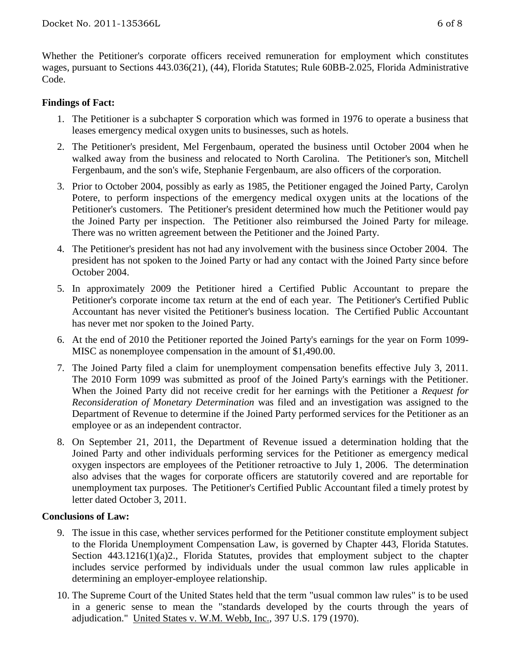Whether the Petitioner's corporate officers received remuneration for employment which constitutes wages, pursuant to Sections 443.036(21), (44), Florida Statutes; Rule 60BB-2.025, Florida Administrative Code.

### **Findings of Fact:**

- 1. The Petitioner is a subchapter S corporation which was formed in 1976 to operate a business that leases emergency medical oxygen units to businesses, such as hotels.
- 2. The Petitioner's president, Mel Fergenbaum, operated the business until October 2004 when he walked away from the business and relocated to North Carolina. The Petitioner's son, Mitchell Fergenbaum, and the son's wife, Stephanie Fergenbaum, are also officers of the corporation.
- 3. Prior to October 2004, possibly as early as 1985, the Petitioner engaged the Joined Party, Carolyn Potere, to perform inspections of the emergency medical oxygen units at the locations of the Petitioner's customers. The Petitioner's president determined how much the Petitioner would pay the Joined Party per inspection. The Petitioner also reimbursed the Joined Party for mileage. There was no written agreement between the Petitioner and the Joined Party.
- 4. The Petitioner's president has not had any involvement with the business since October 2004. The president has not spoken to the Joined Party or had any contact with the Joined Party since before October 2004.
- 5. In approximately 2009 the Petitioner hired a Certified Public Accountant to prepare the Petitioner's corporate income tax return at the end of each year. The Petitioner's Certified Public Accountant has never visited the Petitioner's business location. The Certified Public Accountant has never met nor spoken to the Joined Party.
- 6. At the end of 2010 the Petitioner reported the Joined Party's earnings for the year on Form 1099- MISC as nonemployee compensation in the amount of \$1,490.00.
- 7. The Joined Party filed a claim for unemployment compensation benefits effective July 3, 2011. The 2010 Form 1099 was submitted as proof of the Joined Party's earnings with the Petitioner. When the Joined Party did not receive credit for her earnings with the Petitioner a *Request for Reconsideration of Monetary Determination* was filed and an investigation was assigned to the Department of Revenue to determine if the Joined Party performed services for the Petitioner as an employee or as an independent contractor.
- 8. On September 21, 2011, the Department of Revenue issued a determination holding that the Joined Party and other individuals performing services for the Petitioner as emergency medical oxygen inspectors are employees of the Petitioner retroactive to July 1, 2006. The determination also advises that the wages for corporate officers are statutorily covered and are reportable for unemployment tax purposes. The Petitioner's Certified Public Accountant filed a timely protest by letter dated October 3, 2011.

## **Conclusions of Law:**

- 9. The issue in this case, whether services performed for the Petitioner constitute employment subject to the Florida Unemployment Compensation Law, is governed by Chapter 443, Florida Statutes. Section 443.1216(1)(a)2., Florida Statutes, provides that employment subject to the chapter includes service performed by individuals under the usual common law rules applicable in determining an employer-employee relationship.
- 10. The Supreme Court of the United States held that the term "usual common law rules" is to be used in a generic sense to mean the "standards developed by the courts through the years of adjudication." United States v. W.M. Webb, Inc., 397 U.S. 179 (1970).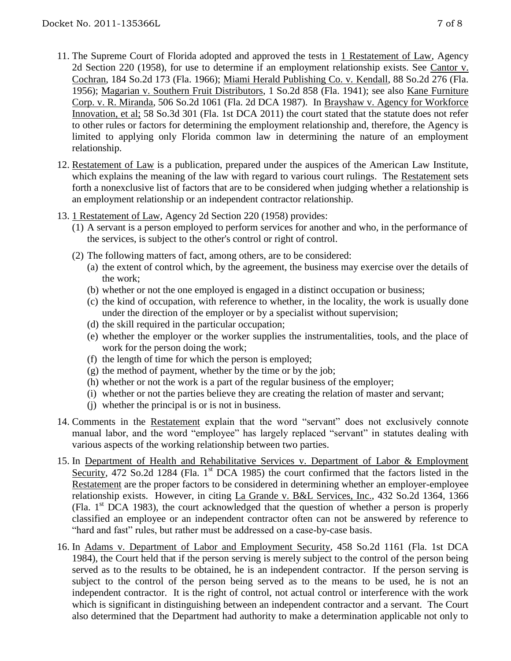- 11. The Supreme Court of Florida adopted and approved the tests in 1 Restatement of Law, Agency 2d Section 220 (1958), for use to determine if an employment relationship exists. See Cantor v. Cochran, 184 So.2d 173 (Fla. 1966); Miami Herald Publishing Co. v. Kendall, 88 So.2d 276 (Fla. 1956); Magarian v. Southern Fruit Distributors, 1 So.2d 858 (Fla. 1941); see also Kane Furniture Corp. v. R. Miranda, 506 So.2d 1061 (Fla. 2d DCA 1987). In Brayshaw v. Agency for Workforce Innovation, et al; 58 So.3d 301 (Fla. 1st DCA 2011) the court stated that the statute does not refer to other rules or factors for determining the employment relationship and, therefore, the Agency is limited to applying only Florida common law in determining the nature of an employment relationship.
- 12. Restatement of Law is a publication, prepared under the auspices of the American Law Institute, which explains the meaning of the law with regard to various court rulings. The Restatement sets forth a nonexclusive list of factors that are to be considered when judging whether a relationship is an employment relationship or an independent contractor relationship.
- 13. 1 Restatement of Law, Agency 2d Section 220 (1958) provides:
	- (1) A servant is a person employed to perform services for another and who, in the performance of the services, is subject to the other's control or right of control.
	- (2) The following matters of fact, among others, are to be considered:
		- (a) the extent of control which, by the agreement, the business may exercise over the details of the work;
		- (b) whether or not the one employed is engaged in a distinct occupation or business;
		- (c) the kind of occupation, with reference to whether, in the locality, the work is usually done under the direction of the employer or by a specialist without supervision;
		- (d) the skill required in the particular occupation;
		- (e) whether the employer or the worker supplies the instrumentalities, tools, and the place of work for the person doing the work;
		- (f) the length of time for which the person is employed;
		- $(g)$  the method of payment, whether by the time or by the job;
		- (h) whether or not the work is a part of the regular business of the employer;
		- (i) whether or not the parties believe they are creating the relation of master and servant;
		- (j) whether the principal is or is not in business.
- 14. Comments in the Restatement explain that the word "servant" does not exclusively connote manual labor, and the word "employee" has largely replaced "servant" in statutes dealing with various aspects of the working relationship between two parties.
- 15. In Department of Health and Rehabilitative Services v. Department of Labor & Employment Security, 472 So.2d 1284 (Fla. 1<sup>st</sup> DCA 1985) the court confirmed that the factors listed in the Restatement are the proper factors to be considered in determining whether an employer-employee relationship exists. However, in citing La Grande v. B&L Services, Inc., 432 So.2d 1364, 1366 (Fla. 1st DCA 1983), the court acknowledged that the question of whether a person is properly classified an employee or an independent contractor often can not be answered by reference to "hard and fast" rules, but rather must be addressed on a case-by-case basis.
- 16. In Adams v. Department of Labor and Employment Security, 458 So.2d 1161 (Fla. 1st DCA 1984), the Court held that if the person serving is merely subject to the control of the person being served as to the results to be obtained, he is an independent contractor. If the person serving is subject to the control of the person being served as to the means to be used, he is not an independent contractor. It is the right of control, not actual control or interference with the work which is significant in distinguishing between an independent contractor and a servant. The Court also determined that the Department had authority to make a determination applicable not only to